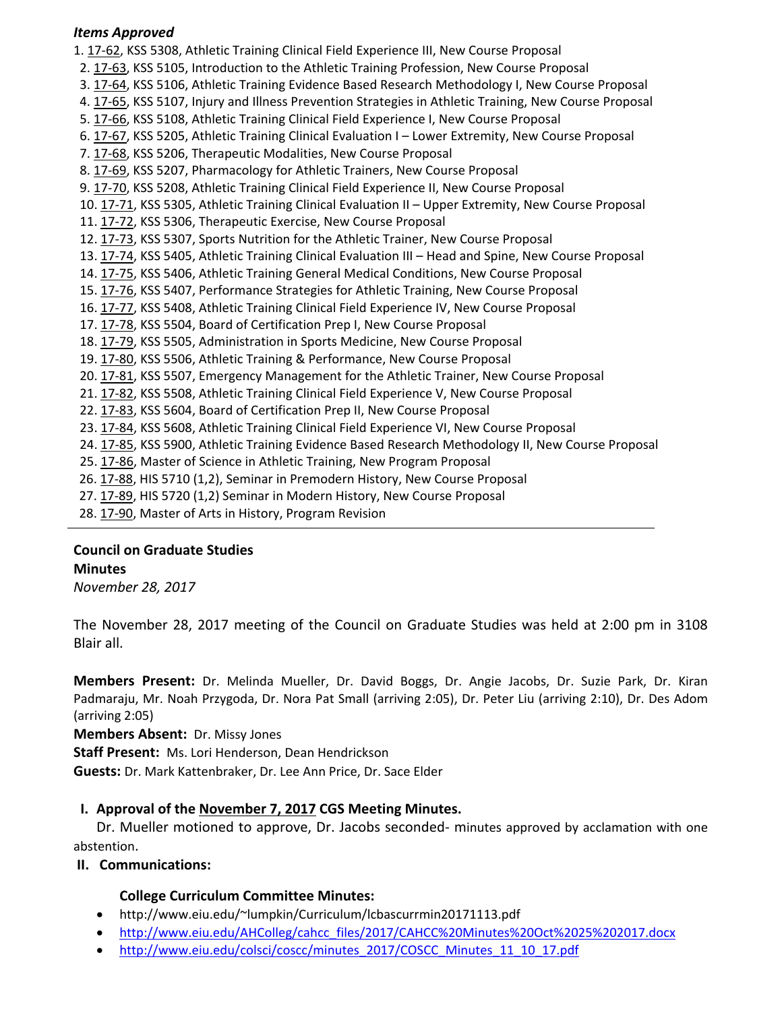## *Items Approved*

1. [17](http://castle.eiu.edu/eiucgs/currentagendaitems/agenda17-62.pdf)‐62, KSS 5308, Athletic Training Clinical Field Experience III, New Course Proposal 2. [17](http://castle.eiu.edu/eiucgs/currentagendaitems/agenda17-63.pdf)‐63, KSS 5105, Introduction to the Athletic Training Profession, New Course Proposal 3. [17](http://castle.eiu.edu/eiucgs/currentagendaitems/agenda17-64.pdf)‐64, KSS 5106, Athletic Training Evidence Based Research Methodology I, New Course Proposal 4. 17‐[65,](http://castle.eiu.edu/eiucgs/currentagendaitems/agenda17-65.pdf) KSS 5107, Injury and Illness Prevention Strategies in Athletic Training, New Course Proposal 5. 17-[66,](http://castle.eiu.edu/eiucgs/currentagendaitems/agenda17-66.pdf) KSS 5108, Athletic Training Clinical Field Experience I, New Course Proposal 6. 17‐[67,](http://castle.eiu.edu/eiucgs/currentagendaitems/agenda17-67.pdf) KSS 5205, Athletic Training Clinical Evaluation I – Lower Extremity, New Course Proposal 7. [17](http://castle.eiu.edu/eiucgs/currentagendaitems/agenda17-68.pdf)‐68, KSS 5206, Therapeutic Modalities, New Course Proposal 8. [17](http://castle.eiu.edu/eiucgs/currentagendaitems/agenda17-69.pdf)‐69, KSS 5207, Pharmacology for Athletic Trainers, New Course Proposal 9. 17‐[70,](http://castle.eiu.edu/eiucgs/currentagendaitems/agenda17-70.pdf) KSS 5208, Athletic Training Clinical Field Experience II, New Course Proposal 10. 17‐[71,](http://castle.eiu.edu/eiucgs/currentagendaitems/agenda17-71.pdf) KSS 5305, Athletic Training Clinical Evaluation II – Upper Extremity, New Course Proposal 11. [17](http://castle.eiu.edu/eiucgs/currentagendaitems/agenda17-72.pdf)‐72, KSS 5306, Therapeutic Exercise, New Course Proposal 12. [17](http://castle.eiu.edu/eiucgs/currentagendaitems/agenda17-73.pdf)‐73, KSS 5307, Sports Nutrition for the Athletic Trainer, New Course Proposal 13. 17‐[74,](http://castle.eiu.edu/eiucgs/currentagendaitems/agenda17-74.pdf) KSS 5405, Athletic Training Clinical Evaluation III – Head and Spine, New Course Proposal 14. 17‐[75,](http://castle.eiu.edu/eiucgs/currentagendaitems/agenda17-75.pdf) KSS 5406, Athletic Training General Medical Conditions, New Course Proposal 15. 17‐[76,](http://castle.eiu.edu/eiucgs/currentagendaitems/agenda17-76.pdf) KSS 5407, Performance Strategies for Athletic Training, New Course Proposal 16. 17-[77,](http://castle.eiu.edu/eiucgs/currentagendaitems/agenda17-77.pdf) KSS 5408, Athletic Training Clinical Field Experience IV, New Course Proposal 17. 17‐[78,](http://castle.eiu.edu/eiucgs/currentagendaitems/agenda17-78.pdf) KSS 5504, Board of Certification Prep I, New Course Proposal 18. 17‐[79](http://castle.eiu.edu/eiucgs/currentagendaitems/agenda17-79.pdf), KSS 5505, Administration in Sports Medicine, New Course Proposal 19. 17‐[80,](http://castle.eiu.edu/eiucgs/currentagendaitems/agenda17-80.pdf) KSS 5506, Athletic Training & Performance, New Course Proposal 20. [17](http://castle.eiu.edu/eiucgs/currentagendaitems/agenda17-81.pdf)‐81, KSS 5507, Emergency Management for the Athletic Trainer, New Course Proposal 21. 17‐[82,](http://castle.eiu.edu/eiucgs/currentagendaitems/agenda17-82.pdf) KSS 5508, Athletic Training Clinical Field Experience V, New Course Proposal 22. 17‐[83,](http://castle.eiu.edu/eiucgs/currentagendaitems/agenda17-83.pdf) KSS 5604, Board of Certification Prep II, New Course Proposal 23. 17‐[84,](http://castle.eiu.edu/eiucgs/currentagendaitems/agenda17-84.pdf) KSS 5608, Athletic Training Clinical Field Experience VI, New Course Proposal 24. 17‐[85,](http://castle.eiu.edu/eiucgs/currentagendaitems/agenda17-85.pdf) KSS 5900, Athletic Training Evidence Based Research Methodology II, New Course Proposal 25. 17‐[86,](http://castle.eiu.edu/eiucgs/currentagendaitems/agenda17-86.pdf) Master of Science in Athletic Training, New Program Proposal 26. 17‐[88,](http://castle.eiu.edu/eiucgs/currentagendaitems/agenda17-88.pdf) HIS 5710 (1,2), Seminar in Premodern History, New Course Proposal 27. 17‐[89,](http://castle.eiu.edu/eiucgs/currentagendaitems/agenda17-89.pdf) HIS 5720 (1,2) Seminar in Modern History, New Course Proposal

28. [17](http://castle.eiu.edu/eiucgs/currentagendaitems/agenda17-90.pdf)‐90, Master of Arts in History, Program Revision

# **Council on Graduate Studies Minutes**

*November 28, 2017*

The November 28, 2017 meeting of the Council on Graduate Studies was held at 2:00 pm in 3108 Blair all.

**Members Present:** Dr. Melinda Mueller, Dr. David Boggs, Dr. Angie Jacobs, Dr. Suzie Park, Dr. Kiran Padmaraju, Mr. Noah Przygoda, Dr. Nora Pat Small (arriving 2:05), Dr. Peter Liu (arriving 2:10), Dr. Des Adom (arriving 2:05)

**Members Absent:** Dr. Missy Jones

**Staff Present:** Ms. Lori Henderson, Dean Hendrickson

**Guests:** Dr. Mark Kattenbraker, Dr. Lee Ann Price, Dr. Sace Elder

# **I. Approval of the [November](http://castle.eiu.edu/eiucgs/currentminutes/Minutes11-7-17.pdf) 7, 2017 CGS Meeting Minutes.**

Dr. Mueller motioned to approve, Dr. Jacobs seconded‐ minutes approved by acclamation with one abstention.

# **II. Communications:**

# **College Curriculum Committee Minutes:**

- <http://www.eiu.edu/~lumpkin/Curriculum/lcbascurrmin20171113.pdf>
- [http://www.eiu.edu/AHColleg/cahcc\\_files/2017/CAHCC%20Minutes%20Oct%2025%202017.docx](http://www.eiu.edu/AHColleg/cahcc_files/2017/CAHCC%20Minutes%20Oct%2025%202017.docx)
- [http://www.eiu.edu/colsci/coscc/minutes\\_2017/COSCC\\_Minutes\\_11\\_10\\_17.pdf](http://www.eiu.edu/colsci/coscc/minutes_2017/COSCC_Minutes_11_10_17.pdf)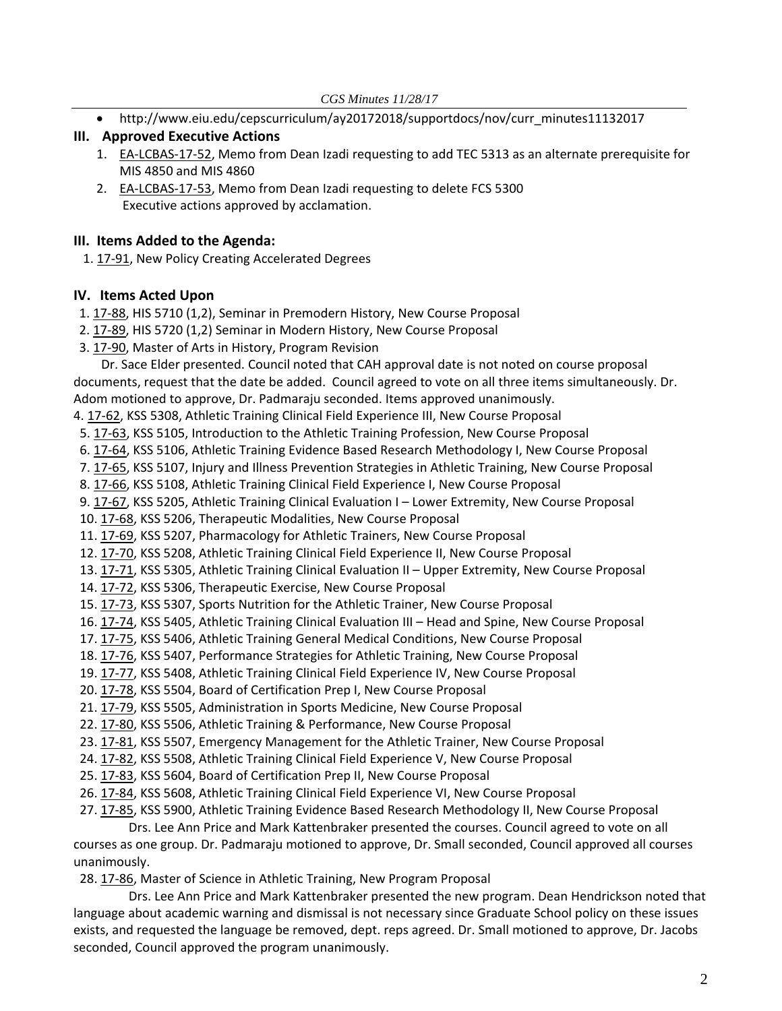• [http://www.eiu.edu/cepscurriculum/ay20172018/supportdocs/nov/curr\\_minutes11132017](http://www.eiu.edu/cepscurriculum/ay20172018/supportdocs/nov/curr_minutes11132017.pdf)

# **III. Approved Executive Actions**

- 1. EA-[LCBAS](http://castle.eiu.edu/eiucgs/exec-actions/EA-LCBAS-17-52.pdf)-17-52, Memo from Dean Izadi requesting to add TEC 5313 as an alternate prerequisite for MIS 4850 and MIS 4860
- 2. EA-[LCBAS](http://castle.eiu.edu/eiucgs/exec-actions/EA-LCBAS-17-53.pdf)-17-53, Memo from Dean Izadi requesting to delete FCS 5300 Executive actions approved by acclamation.

## **III. Items Added to the Agenda:**

1. 17-[91,](http://castle.eiu.edu/eiucgs/currentagendaitems/agenda17-91.pdf) New Policy Creating Accelerated Degrees

# **IV. Items Acted Upon**

1. [17](http://castle.eiu.edu/eiucgs/currentagendaitems/agenda17-88.pdf)-88, HIS 5710 (1,2), Seminar in Premodern History, New Course Proposal

- 2. 17‐[89,](http://castle.eiu.edu/eiucgs/currentagendaitems/agenda17-89.pdf) HIS 5720 (1,2) Seminar in Modern History, New Course Proposal
- 3. [17](http://castle.eiu.edu/eiucgs/currentagendaitems/agenda17-90.pdf)‐90, Master of Arts in History, Program Revision

Dr. Sace Elder presented. Council noted that CAH approval date is not noted on course proposal documents, request that the date be added. Council agreed to vote on all three items simultaneously. Dr. Adom motioned to approve, Dr. Padmaraju seconded. Items approved unanimously.

4. 17‐[62,](http://castle.eiu.edu/eiucgs/currentagendaitems/agenda17-62.pdf) KSS 5308, Athletic Training Clinical Field Experience III, New Course Proposal

5. [17](http://castle.eiu.edu/eiucgs/currentagendaitems/agenda17-63.pdf)‐63, KSS 5105, Introduction to the Athletic Training Profession, New Course Proposal

6. [17](http://castle.eiu.edu/eiucgs/currentagendaitems/agenda17-64.pdf)‐64, KSS 5106, Athletic Training Evidence Based Research Methodology I, New Course Proposal

7. [17](http://castle.eiu.edu/eiucgs/currentagendaitems/agenda17-65.pdf)‐65, KSS 5107, Injury and Illness Prevention Strategies in Athletic Training, New Course Proposal

8. 17‐[66,](http://castle.eiu.edu/eiucgs/currentagendaitems/agenda17-66.pdf) KSS 5108, Athletic Training Clinical Field Experience I, New Course Proposal

9. [17](http://castle.eiu.edu/eiucgs/currentagendaitems/agenda17-67.pdf)‐67, KSS 5205, Athletic Training Clinical Evaluation I – Lower Extremity, New Course Proposal

10. [17](http://castle.eiu.edu/eiucgs/currentagendaitems/agenda17-68.pdf)‐68, KSS 5206, Therapeutic Modalities, New Course Proposal

11. [17](http://castle.eiu.edu/eiucgs/currentagendaitems/agenda17-69.pdf)-69, KSS 5207, Pharmacology for Athletic Trainers, New Course Proposal

12. 17‐[70,](http://castle.eiu.edu/eiucgs/currentagendaitems/agenda17-70.pdf) KSS 5208, Athletic Training Clinical Field Experience II, New Course Proposal

13. 17‐[71,](http://castle.eiu.edu/eiucgs/currentagendaitems/agenda17-71.pdf) KSS 5305, Athletic Training Clinical Evaluation II – Upper Extremity, New Course Proposal

14. 17‐[72,](http://castle.eiu.edu/eiucgs/currentagendaitems/agenda17-72.pdf) KSS 5306, Therapeutic Exercise, New Course Proposal

15. 17‐[73,](http://castle.eiu.edu/eiucgs/currentagendaitems/agenda17-73.pdf) KSS 5307, Sports Nutrition for the Athletic Trainer, New Course Proposal

16. 17‐[74,](http://castle.eiu.edu/eiucgs/currentagendaitems/agenda17-74.pdf) KSS 5405, Athletic Training Clinical Evaluation III – Head and Spine, New Course Proposal

17. 17‐[75,](http://castle.eiu.edu/eiucgs/currentagendaitems/agenda17-75.pdf) KSS 5406, Athletic Training General Medical Conditions, New Course Proposal

18. 17‐[76,](http://castle.eiu.edu/eiucgs/currentagendaitems/agenda17-76.pdf) KSS 5407, Performance Strategies for Athletic Training, New Course Proposal

19. 17‐[77,](http://castle.eiu.edu/eiucgs/currentagendaitems/agenda17-77.pdf) KSS 5408, Athletic Training Clinical Field Experience IV, New Course Proposal

20. 17‐[78,](http://castle.eiu.edu/eiucgs/currentagendaitems/agenda17-78.pdf) KSS 5504, Board of Certification Prep I, New Course Proposal

- 21. 17‐[79,](http://castle.eiu.edu/eiucgs/currentagendaitems/agenda17-79.pdf) KSS 5505, Administration in Sports Medicine, New Course Proposal
- 22. [17](http://castle.eiu.edu/eiucgs/currentagendaitems/agenda17-80.pdf)‐80, KSS 5506, Athletic Training & Performance, New Course Proposal
- 23. 17‐[81,](http://castle.eiu.edu/eiucgs/currentagendaitems/agenda17-81.pdf) KSS 5507, Emergency Management for the Athletic Trainer, New Course Proposal
- 24. 17‐[82,](http://castle.eiu.edu/eiucgs/currentagendaitems/agenda17-82.pdf) KSS 5508, Athletic Training Clinical Field Experience V, New Course Proposal
- 25. 17‐[83,](http://castle.eiu.edu/eiucgs/currentagendaitems/agenda17-83.pdf) KSS 5604, Board of Certification Prep II, New Course Proposal
- 26. 17‐[84,](http://castle.eiu.edu/eiucgs/currentagendaitems/agenda17-84.pdf) KSS 5608, Athletic Training Clinical Field Experience VI, New Course Proposal

27. 17‐[85,](http://castle.eiu.edu/eiucgs/currentagendaitems/agenda17-85.pdf) KSS 5900, Athletic Training Evidence Based Research Methodology II, New Course Proposal

 Drs. Lee Ann Price and Mark Kattenbraker presented the courses. Council agreed to vote on all courses as one group. Dr. Padmaraju motioned to approve, Dr. Small seconded, Council approved all courses

unanimously.

28. 17‐[86,](http://castle.eiu.edu/eiucgs/currentagendaitems/agenda17-86.pdf) Master of Science in Athletic Training, New Program Proposal

 Drs. Lee Ann Price and Mark Kattenbraker presented the new program. Dean Hendrickson noted that language about academic warning and dismissal is not necessary since Graduate School policy on these issues exists, and requested the language be removed, dept. reps agreed. Dr. Small motioned to approve, Dr. Jacobs seconded, Council approved the program unanimously.